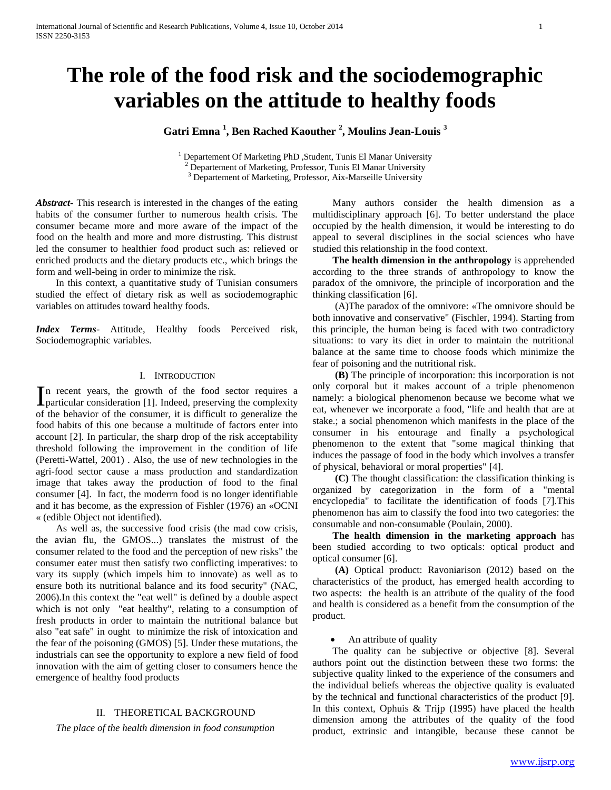# **The role of the food risk and the sociodemographic variables on the attitude to healthy foods**

**Gatri Emna <sup>1</sup> , Ben Rached Kaouther <sup>2</sup> , Moulins Jean-Louis <sup>3</sup>**

<sup>1</sup> Departement Of Marketing PhD, Student, Tunis El Manar University <sup>2</sup> Departement of Marketing, Professor, Tunis El Manar University <sup>3</sup> Departement of Marketing, Professor, Aix-Marseille University

*Abstract***-** This research is interested in the changes of the eating habits of the consumer further to numerous health crisis. The consumer became more and more aware of the impact of the food on the health and more and more distrusting. This distrust led the consumer to healthier food product such as: relieved or enriched products and the dietary products etc., which brings the form and well-being in order to minimize the risk.

 In this context, a quantitative study of Tunisian consumers studied the effect of dietary risk as well as sociodemographic variables on attitudes toward healthy foods.

*Index Terms*- Attitude, Healthy foods Perceived risk, Sociodemographic variables.

# I. INTRODUCTION

n recent years, the growth of the food sector requires a In recent years, the growth of the food sector requires a particular consideration [1]. Indeed, preserving the complexity of the behavior of the consumer, it is difficult to generalize the food habits of this one because a multitude of factors enter into account [2]. In particular, the sharp drop of the risk acceptability threshold following the improvement in the condition of life (Peretti-Wattel, 2001) . Also, the use of new technologies in the agri-food sector cause a mass production and standardization image that takes away the production of food to the final consumer [4]. In fact, the moderrn food is no longer identifiable and it has become, as the expression of Fishler (1976) an «OCNI « (edible Object not identified).

 As well as, the successive food crisis (the mad cow crisis, the avian flu, the GMOS...) translates the mistrust of the consumer related to the food and the perception of new risks" the consumer eater must then satisfy two conflicting imperatives: to vary its supply (which impels him to innovate) as well as to ensure both its nutritional balance and its food security" (NAC, 2006).In this context the "eat well" is defined by a double aspect which is not only "eat healthy", relating to a consumption of fresh products in order to maintain the nutritional balance but also "eat safe" in ought to minimize the risk of intoxication and the fear of the poisoning (GMOS) [5]. Under these mutations, the industrials can see the opportunity to explore a new field of food innovation with the aim of getting closer to consumers hence the emergence of healthy food products

#### II. THEORETICAL BACKGROUND

*The place of the health dimension in food consumption*

 Many authors consider the health dimension as a multidisciplinary approach [6]. To better understand the place occupied by the health dimension, it would be interesting to do appeal to several disciplines in the social sciences who have studied this relationship in the food context.

 **The health dimension in the anthropology** is apprehended according to the three strands of anthropology to know the paradox of the omnivore, the principle of incorporation and the thinking classification [6].

 (A)The paradox of the omnivore: «The omnivore should be both innovative and conservative" (Fischler, 1994). Starting from this principle, the human being is faced with two contradictory situations: to vary its diet in order to maintain the nutritional balance at the same time to choose foods which minimize the fear of poisoning and the nutritional risk.

 **(B)** The principle of incorporation: this incorporation is not only corporal but it makes account of a triple phenomenon namely: a biological phenomenon because we become what we eat, whenever we incorporate a food, "life and health that are at stake.; a social phenomenon which manifests in the place of the consumer in his entourage and finally a psychological phenomenon to the extent that "some magical thinking that induces the passage of food in the body which involves a transfer of physical, behavioral or moral properties" [4].

 **(C)** The thought classification: the classification thinking is organized by categorization in the form of a "mental encyclopedia" to facilitate the identification of foods [7].This phenomenon has aim to classify the food into two categories: the consumable and non-consumable (Poulain, 2000).

 **The health dimension in the marketing approach** has been studied according to two opticals: optical product and optical consumer [6].

 **(A)** Optical product: Ravoniarison (2012) based on the characteristics of the product, has emerged health according to two aspects: the health is an attribute of the quality of the food and health is considered as a benefit from the consumption of the product.

An attribute of quality

 The quality can be subjective or objective [8]. Several authors point out the distinction between these two forms: the subjective quality linked to the experience of the consumers and the individual beliefs whereas the objective quality is evaluated by the technical and functional characteristics of the product [9]. In this context, Ophuis & Trijp (1995) have placed the health dimension among the attributes of the quality of the food product, extrinsic and intangible, because these cannot be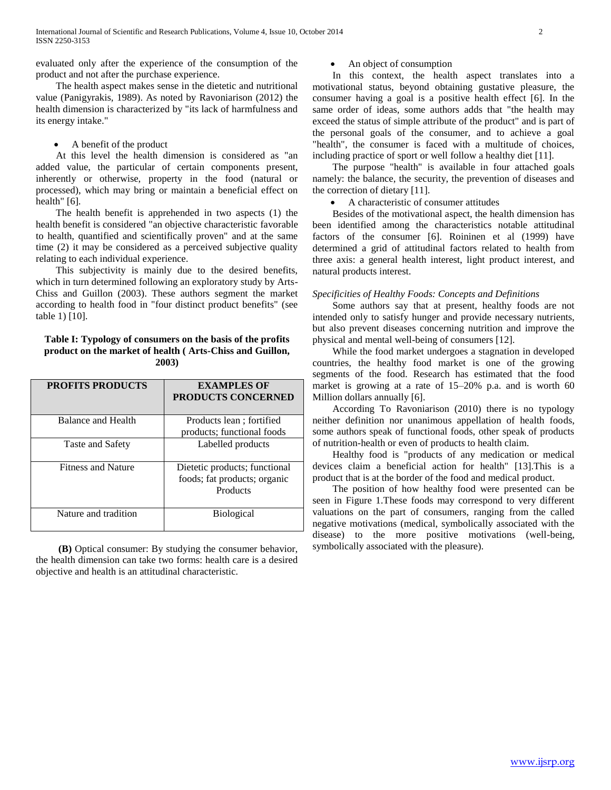evaluated only after the experience of the consumption of the product and not after the purchase experience.

 The health aspect makes sense in the dietetic and nutritional value (Panigyrakis, 1989). As noted by Ravoniarison (2012) the health dimension is characterized by "its lack of harmfulness and its energy intake."

A benefit of the product

 At this level the health dimension is considered as "an added value, the particular of certain components present, inherently or otherwise, property in the food (natural or processed), which may bring or maintain a beneficial effect on health" [6].

 The health benefit is apprehended in two aspects (1) the health benefit is considered "an objective characteristic favorable to health, quantified and scientifically proven" and at the same time (2) it may be considered as a perceived subjective quality relating to each individual experience.

 This subjectivity is mainly due to the desired benefits, which in turn determined following an exploratory study by Arts-Chiss and Guillon (2003). These authors segment the market according to health food in "four distinct product benefits" (see table 1) [10].

# **Table I: Typology of consumers on the basis of the profits product on the market of health ( Arts-Chiss and Guillon, 2003)**

| <b>PROFITS PRODUCTS</b>   | <b>EXAMPLES OF</b><br><b>PRODUCTS CONCERNED</b>                           |
|---------------------------|---------------------------------------------------------------------------|
| Balance and Health        | Products lean; fortified<br>products; functional foods                    |
| Taste and Safety          | Labelled products                                                         |
| <b>Fitness and Nature</b> | Dietetic products; functional<br>foods; fat products; organic<br>Products |
| Nature and tradition      | <b>Biological</b>                                                         |

 **(B)** Optical consumer: By studying the consumer behavior, the health dimension can take two forms: health care is a desired objective and health is an attitudinal characteristic.

An object of consumption

 In this context, the health aspect translates into a motivational status, beyond obtaining gustative pleasure, the consumer having a goal is a positive health effect [6]. In the same order of ideas, some authors adds that "the health may exceed the status of simple attribute of the product" and is part of the personal goals of the consumer, and to achieve a goal "health", the consumer is faced with a multitude of choices, including practice of sport or well follow a healthy diet [11].

 The purpose "health" is available in four attached goals namely: the balance, the security, the prevention of diseases and the correction of dietary [11].

A characteristic of consumer attitudes

 Besides of the motivational aspect, the health dimension has been identified among the characteristics notable attitudinal factors of the consumer [6]. Roininen et al (1999) have determined a grid of attitudinal factors related to health from three axis: a general health interest, light product interest, and natural products interest.

# *Specificities of Healthy Foods: Concepts and Definitions*

 Some authors say that at present, healthy foods are not intended only to satisfy hunger and provide necessary nutrients, but also prevent diseases concerning nutrition and improve the physical and mental well-being of consumers [12].

 While the food market undergoes a stagnation in developed countries, the healthy food market is one of the growing segments of the food. Research has estimated that the food market is growing at a rate of 15–20% p.a. and is worth 60 Million dollars annually [6].

 According To Ravoniarison (2010) there is no typology neither definition nor unanimous appellation of health foods, some authors speak of functional foods, other speak of products of nutrition-health or even of products to health claim.

 Healthy food is "products of any medication or medical devices claim a beneficial action for health" [13].This is a product that is at the border of the food and medical product.

 The position of how healthy food were presented can be seen in Figure 1.These foods may correspond to very different valuations on the part of consumers, ranging from the called negative motivations (medical, symbolically associated with the disease) to the more positive motivations (well-being, symbolically associated with the pleasure).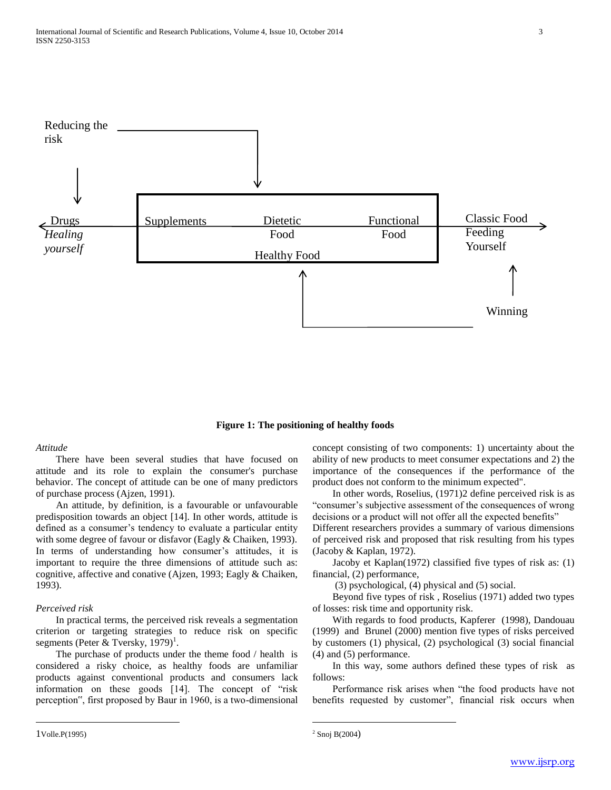

#### **Figure 1: The positioning of healthy foods**

## *Attitude*

 There have been several studies that have focused on attitude and its role to explain the consumer's purchase behavior. The concept of attitude can be one of many predictors of purchase process (Ajzen, 1991).

 An attitude, by definition, is a favourable or unfavourable predisposition towards an object [14]. In other words, attitude is defined as a consumer's tendency to evaluate a particular entity with some degree of favour or disfavor (Eagly & Chaiken, 1993). In terms of understanding how consumer's attitudes, it is important to require the three dimensions of attitude such as: cognitive, affective and conative (Ajzen, 1993; Eagly & Chaiken, 1993).

## *Perceived risk*

 In practical terms, the perceived risk reveals a segmentation criterion or targeting strategies to reduce risk on specific segments (Peter & Tversky,  $1979$ )<sup>1</sup>.

 The purchase of products under the theme food / health is considered a risky choice, as healthy foods are unfamiliar products against conventional products and consumers lack information on these goods [14]. The concept of "risk perception", first proposed by Baur in 1960, is a two-dimensional concept consisting of two components: 1) uncertainty about the ability of new products to meet consumer expectations and 2) the importance of the consequences if the performance of the product does not conform to the minimum expected".

 In other words, Roselius, (1971)2 define perceived risk is as "consumer's subjective assessment of the consequences of wrong decisions or a product will not offer all the expected benefits"

Different researchers provides a summary of various dimensions of perceived risk and proposed that risk resulting from his types (Jacoby & Kaplan, 1972).

 Jacoby et Kaplan(1972) classified five types of risk as: (1) financial, (2) performance,

(3) psychological, (4) physical and (5) social.

 Beyond five types of risk , Roselius (1971) added two types of losses: risk time and opportunity risk.

 With regards to food products, Kapferer (1998), Dandouau (1999) and Brunel (2000) mention five types of risks perceived by customers (1) physical, (2) psychological (3) social financial (4) and (5) performance.

 In this way, some authors defined these types of risk as follows:

 Performance risk arises when "the food products have not benefits requested by customer", financial risk occurs when

 $\overline{a}$ 

 $\overline{a}$ 

<sup>2</sup> Snoj B(2004)

<sup>1</sup>Volle.P(1995)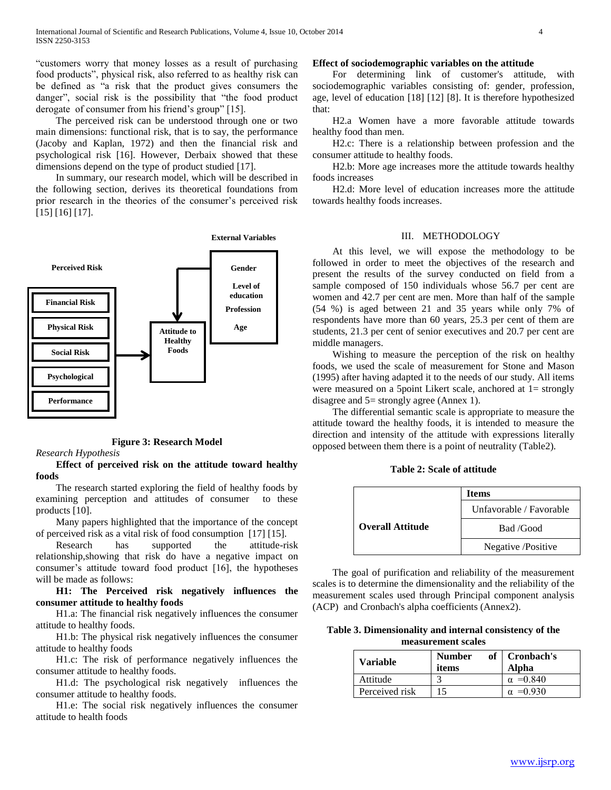"customers worry that money losses as a result of purchasing food products", physical risk, also referred to as healthy risk can be defined as "a risk that the product gives consumers the danger", social risk is the possibility that "the food product derogate of consumer from his friend's group" [15].

 The perceived risk can be understood through one or two main dimensions: functional risk, that is to say, the performance (Jacoby and Kaplan, 1972) and then the financial risk and psychological risk [16]. However, Derbaix showed that these dimensions depend on the type of product studied [17].

 In summary, our research model, which will be described in the following section, derives its theoretical foundations from prior research in the theories of the consumer's perceived risk [15] [16] [17].



**Figure 3: Research Model**

#### *Research Hypothesis*

# **Effect of perceived risk on the attitude toward healthy foods**

 The research started exploring the field of healthy foods by examining perception and attitudes of consumer to these products [10].

 Many papers highlighted that the importance of the concept of perceived risk as a vital risk of food consumption [17] [15].

 Research has supported the attitude-risk relationship,showing that risk do have a negative impact on consumer's attitude toward food product [16], the hypotheses will be made as follows:

# **H1: The Perceived risk negatively influences the consumer attitude to healthy foods**

 H1.a: The financial risk negatively influences the consumer attitude to healthy foods.

 H1.b: The physical risk negatively influences the consumer attitude to healthy foods

 H1.c: The risk of performance negatively influences the consumer attitude to healthy foods.

 H1.d: The psychological risk negatively influences the consumer attitude to healthy foods.

 H1.e: The social risk negatively influences the consumer attitude to health foods

# **Effect of sociodemographic variables on the attitude**

 For determining link of customer's attitude, with sociodemographic variables consisting of: gender, profession, age, level of education [18] [12] [8]. It is therefore hypothesized that:

 H2.a Women have a more favorable attitude towards healthy food than men.

 H2.c: There is a relationship between profession and the consumer attitude to healthy foods.

 H2.b: More age increases more the attitude towards healthy foods increases

 H2.d: More level of education increases more the attitude towards healthy foods increases.

# III. METHODOLOGY

 At this level, we will expose the methodology to be followed in order to meet the objectives of the research and present the results of the survey conducted on field from a sample composed of 150 individuals whose 56.7 per cent are women and 42.7 per cent are men. More than half of the sample (54 %) is aged between 21 and 35 years while only 7% of respondents have more than 60 years, 25.3 per cent of them are students, 21.3 per cent of senior executives and 20.7 per cent are middle managers.

 Wishing to measure the perception of the risk on healthy foods, we used the scale of measurement for Stone and Mason (1995) after having adapted it to the needs of our study. All items were measured on a 5point Likert scale, anchored at 1= strongly disagree and 5= strongly agree (Annex 1).

 The differential semantic scale is appropriate to measure the attitude toward the healthy foods, it is intended to measure the direction and intensity of the attitude with expressions literally opposed between them there is a point of neutrality (Table2).

# **Table 2: Scale of attitude**

|                         | Items                   |
|-------------------------|-------------------------|
| <b>Overall Attitude</b> | Unfavorable / Favorable |
|                         | Bad /Good               |
|                         | Negative /Positive      |

 The goal of purification and reliability of the measurement scales is to determine the dimensionality and the reliability of the measurement scales used through Principal component analysis (ACP) and Cronbach's alpha coefficients (Annex2).

# **Table 3. Dimensionality and internal consistency of the measurement scales**

| <b>Variable</b> | <b>Number</b><br>of<br>items | Cronbach's<br>Alpha |
|-----------------|------------------------------|---------------------|
| Attitude        | 2                            | $\alpha = 0.840$    |
| Perceived risk  |                              | $\alpha = 0.930$    |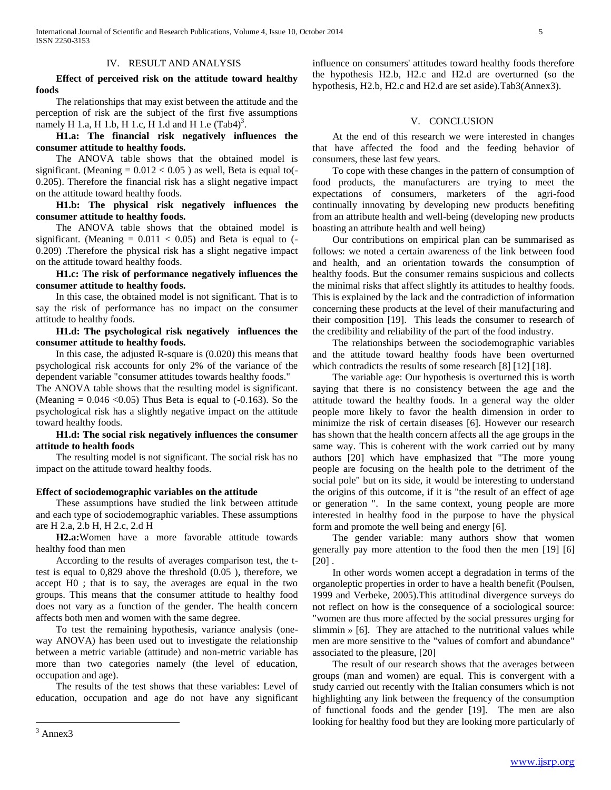#### IV. RESULT AND ANALYSIS

 **Effect of perceived risk on the attitude toward healthy foods**

 The relationships that may exist between the attitude and the perception of risk are the subject of the first five assumptions namely H 1.a, H 1.b, H 1.c, H 1.d and H 1.e  $(Tab4)^3$ .

 **H1.a: The financial risk negatively influences the consumer attitude to healthy foods.** 

 The ANOVA table shows that the obtained model is significant. (Meaning  $= 0.012 < 0.05$ ) as well, Beta is equal to (-0.205). Therefore the financial risk has a slight negative impact on the attitude toward healthy foods.

 **H1.b: The physical risk negatively influences the consumer attitude to healthy foods.**

 The ANOVA table shows that the obtained model is significant. (Meaning  $= 0.011 < 0.05$ ) and Beta is equal to (-0.209) .Therefore the physical risk has a slight negative impact on the attitude toward healthy foods.

 **H1.c: The risk of performance negatively influences the consumer attitude to healthy foods.**

 In this case, the obtained model is not significant. That is to say the risk of performance has no impact on the consumer attitude to healthy foods.

 **H1.d: The psychological risk negatively influences the consumer attitude to healthy foods.**

 In this case, the adjusted R-square is (0.020) this means that psychological risk accounts for only 2% of the variance of the dependent variable "consumer attitudes towards healthy foods."

The ANOVA table shows that the resulting model is significant. (Meaning  $= 0.046 \le 0.05$ ) Thus Beta is equal to  $(-0.163)$ . So the psychological risk has a slightly negative impact on the attitude toward healthy foods.

# **H1.d: The social risk negatively influences the consumer attitude to health foods**

 The resulting model is not significant. The social risk has no impact on the attitude toward healthy foods.

### **Effect of sociodemographic variables on the attitude**

 These assumptions have studied the link between attitude and each type of sociodemographic variables. These assumptions are H 2.a, 2.b H, H 2.c, 2.d H

 **H2.a:**Women have a more favorable attitude towards healthy food than men

 According to the results of averages comparison test, the ttest is equal to 0,829 above the threshold (0.05 ), therefore, we accept H0 ; that is to say, the averages are equal in the two groups. This means that the consumer attitude to healthy food does not vary as a function of the gender. The health concern affects both men and women with the same degree.

 To test the remaining hypothesis, variance analysis (oneway ANOVA) has been used out to investigate the relationship between a metric variable (attitude) and non-metric variable has more than two categories namely (the level of education, occupation and age).

 The results of the test shows that these variables: Level of education, occupation and age do not have any significant

#### V. CONCLUSION

 At the end of this research we were interested in changes that have affected the food and the feeding behavior of consumers, these last few years.

 To cope with these changes in the pattern of consumption of food products, the manufacturers are trying to meet the expectations of consumers, marketers of the agri-food continually innovating by developing new products benefiting from an attribute health and well-being (developing new products boasting an attribute health and well being)

 Our contributions on empirical plan can be summarised as follows: we noted a certain awareness of the link between food and health, and an orientation towards the consumption of healthy foods. But the consumer remains suspicious and collects the minimal risks that affect slightly its attitudes to healthy foods. This is explained by the lack and the contradiction of information concerning these products at the level of their manufacturing and their composition [19]. This leads the consumer to research of the credibility and reliability of the part of the food industry.

 The relationships between the sociodemographic variables and the attitude toward healthy foods have been overturned which contradicts the results of some research [8] [12] [18].

 The variable age: Our hypothesis is overturned this is worth saying that there is no consistency between the age and the attitude toward the healthy foods. In a general way the older people more likely to favor the health dimension in order to minimize the risk of certain diseases [6]. However our research has shown that the health concern affects all the age groups in the same way. This is coherent with the work carried out by many authors [20] which have emphasized that "The more young people are focusing on the health pole to the detriment of the social pole" but on its side, it would be interesting to understand the origins of this outcome, if it is "the result of an effect of age or generation ". In the same context, young people are more interested in healthy food in the purpose to have the physical form and promote the well being and energy [6].

 The gender variable: many authors show that women generally pay more attention to the food then the men [19] [6]  $[20]$ .

 In other words women accept a degradation in terms of the organoleptic properties in order to have a health benefit (Poulsen, 1999 and Verbeke, 2005).This attitudinal divergence surveys do not reflect on how is the consequence of a sociological source: "women are thus more affected by the social pressures urging for slimmin » [6]. They are attached to the nutritional values while men are more sensitive to the "values of comfort and abundance" associated to the pleasure, [20]

 The result of our research shows that the averages between groups (man and women) are equal. This is convergent with a study carried out recently with the Italian consumers which is not highlighting any link between the frequency of the consumption of functional foods and the gender [19]. The men are also looking for healthy food but they are looking more particularly of

 $\overline{a}$ 

influence on consumers' attitudes toward healthy foods therefore the hypothesis H2.b, H2.c and H2.d are overturned (so the hypothesis, H2.b, H2.c and H2.d are set aside).Tab3(Annex3).

 $3$  Annex 3